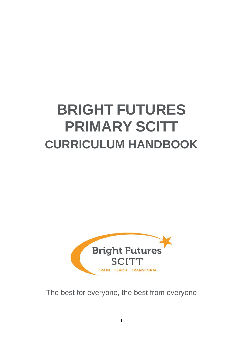# **BRIGHT FUTURES PRIMARY SCITT CURRICULUM HANDBOOK**



The best for everyone, the best from everyone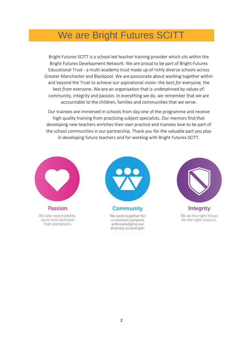# We are Bright Futures SCITT

Bright Futures SCITT is a school-led teacher training provider which sits within the Bright Futures Development Network. We are proud to be part of Bright Futures Educational Trust - a multi-academy trust made up of richly diverse schools across Greater Manchester and Blackpool. We are passionate about working together within and beyond the Trust to achieve our aspirational vision: the best *for* everyone, the best *from* everyone. We are an organisation that is underpinned by values of: community, integrity and passion. In everything we do, we remember that we are accountable to the children, families and communities that we serve.

Our trainees are immersed in schools from day one of the programme and receive high quality training from practicing subject specialists. Our mentors find that developing new teachers enriches their own practice and trainees love to be part of the school communities in our partnership. Thank you for the valuable part you play in developing future teachers and for working with Bright Futures SCITT.



Passion We take responsibility, work hard and have high aspirations.



Community

We work together for a common purpose acknowledging our diversity as strength.



Integrity We do the right things for the right reasons..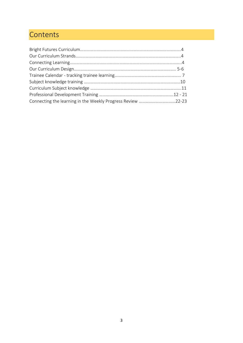# **Contents**

| Connecting the learning in the Weekly Progress Review 22-23 |  |
|-------------------------------------------------------------|--|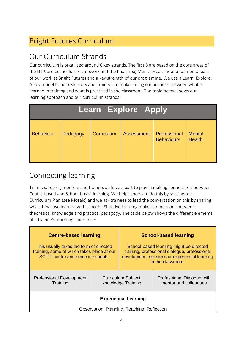# Bright Futures Curriculum

#### Our Curriculum Strands

Our curriculum is organised around 6 key strands. The first 5 are based on the core areas of the ITT Core Curriculum Framework and the final area, Mental Health is a fundamental part of our work at Bright Futures and a key strength of our programme. We use a Learn, Explore, Apply model to help Mentors and Trainees to make strong connections between what is learned in training and what is practised in the classroom. The table below shows our learning approach and our curriculum strands:

| <b>Learn Explore Apply</b> |          |            |                   |                                   |                                |  |  |  |
|----------------------------|----------|------------|-------------------|-----------------------------------|--------------------------------|--|--|--|
| <b>Behaviour</b>           | Pedagogy | Curriculum | <b>Assessment</b> | Professional<br><b>Behaviours</b> | <b>Mental</b><br><b>Health</b> |  |  |  |

## Connecting learning

Trainees, tutors, mentors and trainers all have a part to play in making connections between Centre-based and School-based learning. We help schools to do this by sharing our Curriculum Plan (see Mosaic) and we ask trainees to lead the conversation on this by sharing what they have learned with schools. Effective learning makes connections between theoretical knowledge and practical pedagogy. The table below shows the different elements of a trainee's learning experience:

| <b>Centre-based learning</b>                                                                                               |  |                                                                                                                                                                | <b>School-based learning</b>                        |  |  |  |
|----------------------------------------------------------------------------------------------------------------------------|--|----------------------------------------------------------------------------------------------------------------------------------------------------------------|-----------------------------------------------------|--|--|--|
| This usually takes the form of directed<br>training, some of which takes place at our<br>SCITT centre and some in schools. |  | School-based learning might be directed<br>training, professional dialogue, professional<br>development sessions or experiential learning<br>in the classroom. |                                                     |  |  |  |
| <b>Professional Development</b><br>Training                                                                                |  | <b>Curriculum Subject</b><br><b>Knowledge Training</b>                                                                                                         | Professional Dialogue with<br>mentor and colleagues |  |  |  |
| <b>Experiential Learning</b><br>Observation, Planning, Teaching, Reflection                                                |  |                                                                                                                                                                |                                                     |  |  |  |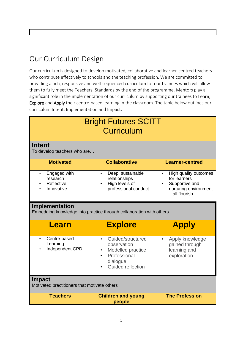## Our Curriculum Design

Our curriculum is designed to develop motivated, collaborative and learner-centred teachers who contribute effectively to schools and the teaching profession. We are committed to providing a rich, responsive and well-sequenced curriculum for our trainees which will allow them to fully meet the Teachers' Standards by the end of the programme. Mentors play a significant role in the implementation of our curriculum by supporting our trainees to Learn, Explore and Apply their centre-based learning in the classroom. The table below outlines our curriculum Intent, Implementation and Impact:

| <b>Bright Futures SCITT</b><br><b>Curriculum</b>                                      |                                                                                                                     |                                                                                                    |  |  |  |  |  |
|---------------------------------------------------------------------------------------|---------------------------------------------------------------------------------------------------------------------|----------------------------------------------------------------------------------------------------|--|--|--|--|--|
| <b>Intent</b><br>To develop teachers who are                                          |                                                                                                                     |                                                                                                    |  |  |  |  |  |
| <b>Motivated</b>                                                                      | <b>Collaborative</b>                                                                                                | <b>Learner-centred</b>                                                                             |  |  |  |  |  |
| Engaged with<br>$\bullet$<br>research<br>Reflective<br>Innovative                     | Deep, sustainable<br>$\bullet$<br>relationships<br>High levels of<br>professional conduct                           | High quality outcomes<br>for learners<br>Supportive and<br>nurturing environment<br>- all flourish |  |  |  |  |  |
| Implementation<br>Embedding knowledge into practice through collaboration with others |                                                                                                                     |                                                                                                    |  |  |  |  |  |
| Learn                                                                                 | <b>Explore</b>                                                                                                      | <b>Apply</b>                                                                                       |  |  |  |  |  |
| Centre-based<br>$\bullet$<br>Learning<br>Independent CPD                              | Guided/structured<br>$\bullet$<br>observation<br>Modelled practice<br>Professional<br>dialogue<br>Guided reflection | Apply knowledge<br>$\bullet$<br>gained through<br>learning and<br>exploration                      |  |  |  |  |  |
| <b>Impact</b><br>Motivated practitioners that motivate others                         |                                                                                                                     |                                                                                                    |  |  |  |  |  |
| <b>Teachers</b>                                                                       | <b>Children and young</b><br>people                                                                                 | <b>The Profession</b>                                                                              |  |  |  |  |  |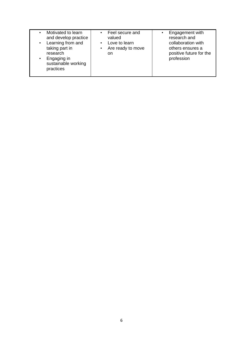| Motivated to learn<br>$\bullet$<br>and develop practice<br>Learning from and<br>$\bullet$<br>$\bullet$<br>taking part in<br>$\bullet$<br>research<br>Engaging in<br>$\bullet$<br>sustainable working<br>practices | Feel secure and<br>valued<br>Love to learn<br>Are ready to move<br>on. | Engagement with<br>research and<br>collaboration with<br>others ensures a<br>positive future for the<br>profession |
|-------------------------------------------------------------------------------------------------------------------------------------------------------------------------------------------------------------------|------------------------------------------------------------------------|--------------------------------------------------------------------------------------------------------------------|
|-------------------------------------------------------------------------------------------------------------------------------------------------------------------------------------------------------------------|------------------------------------------------------------------------|--------------------------------------------------------------------------------------------------------------------|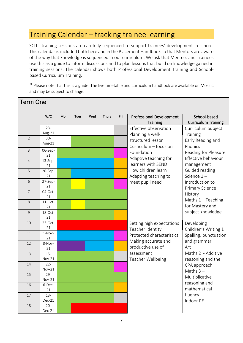#### Training Calendar – tracking trainee learning

SCITT training sessions are carefully sequenced to support trainees' development in school. This calendar is included both here and in the Placement Handbook so that Mentors are aware of the way that knowledge is sequenced in our curriculum. We ask that Mentors and Trainees use this as a guide to inform discussions and to plan lessons that build on knowledge gained in training sessions. The calendar shows both Professional Development Training and Schoolbased Curriculum Training.

\* Please note that this is a guide. The live timetable and curriculum handbook are available on Mosaic and may be subject to change.

| Term One       |                    |     |      |     |              |     |                                 |                            |
|----------------|--------------------|-----|------|-----|--------------|-----|---------------------------------|----------------------------|
|                | W/C                | Mon | Tues | Wed | <b>Thurs</b> | Fri | <b>Professional Development</b> | School-based               |
|                |                    |     |      |     |              |     | <b>Training</b>                 | <b>Curriculum Training</b> |
| $\mathbf{1}$   | $23 -$             |     |      |     |              |     | Effective observation           | Curriculum Subject         |
|                | Aug-21             |     |      |     |              |     | Planning a well-                | Training                   |
| $\overline{2}$ | $30-$              |     |      |     |              |     | structured lesson               | Early Reading and          |
|                | Aug-21             |     |      |     |              |     | Curriculum - focus on           | Phonics                    |
| 3              | 06-Sep-            |     |      |     |              |     | Foundation                      | Reading for Pleasure       |
|                | 21                 |     |      |     |              |     | Adaptive teaching for           | Effective behaviour        |
| $\overline{4}$ | 13-Sep-            |     |      |     |              |     | learners with SEND              | management                 |
| 5              | 21<br>20-Sep-      |     |      |     |              |     | How children learn              | Guided reading             |
|                | 21                 |     |      |     |              |     | Adapting teaching to            | Science $1 -$              |
| 6              | 27-Sep-            |     |      |     |              |     | meet pupil need                 | Introduction to            |
|                | 21                 |     |      |     |              |     |                                 | Primary Science            |
| $\overline{7}$ | 04-Oct-            |     |      |     |              |     |                                 | History                    |
|                | 21                 |     |      |     |              |     |                                 |                            |
| 8              | $11$ -Oct-         |     |      |     |              |     |                                 | Maths $1 -$ Teaching       |
|                | 21                 |     |      |     |              |     |                                 | for Mastery and            |
| 9              | 18-Oct-            |     |      |     |              |     |                                 | subject knowledge          |
|                | 21<br>$25$ -Oct-   |     |      |     |              |     |                                 |                            |
| 10             | 21                 |     |      |     |              |     | Setting high expectations       | Developing                 |
| 11             | 1-Nov-             |     |      |     |              |     | Teacher Identity                | Children's Writing 1       |
|                | 21                 |     |      |     |              |     | Protected characteristics       | Spelling, punctuation      |
| 12             | 8-Nov-             |     |      |     |              |     | Making accurate and             | and grammar                |
|                | 21                 |     |      |     |              |     | productive use of               | Art                        |
| 13             | $15 -$             |     |      |     |              |     | assessment                      | Maths 2 - Additive         |
|                | Nov-21             |     |      |     |              |     | Teacher Wellbeing               | reasoning and the          |
| 14             | $22 -$             |     |      |     |              |     |                                 | CPA approach               |
|                | Nov-21             |     |      |     |              |     |                                 | Maths $3-$                 |
| 15             | $29 -$<br>$Nov-21$ |     |      |     |              |     |                                 | Multiplicative             |
| 16             | 6-Dec-             |     |      |     |              |     |                                 | reasoning and              |
|                | 21                 |     |      |     |              |     |                                 | mathematical               |
| 17             | $13 -$             |     |      |     |              |     |                                 | fluency                    |
|                | Dec-21             |     |      |     |              |     |                                 | Indoor PE                  |
| 18             | $20 -$             |     |      |     |              |     |                                 |                            |
|                | $Dec-21$           |     |      |     |              |     |                                 |                            |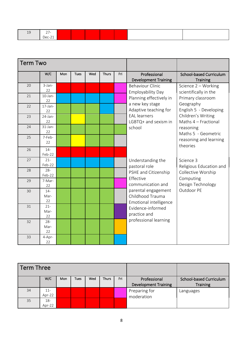| --   |  |
|------|--|
|      |  |
| ، ۱۵ |  |
|      |  |

|    | <b>Term Two</b>  |     |             |     |              |     |                               |                                |
|----|------------------|-----|-------------|-----|--------------|-----|-------------------------------|--------------------------------|
|    | W/C              | Mon | <b>Tues</b> | Wed | <b>Thurs</b> | Fri | Professional                  | <b>School-based Curriculum</b> |
|    |                  |     |             |     |              |     | <b>Development Training</b>   | <b>Training</b>                |
| 20 | 3-Jan-           |     |             |     |              |     | <b>Behaviour Clinic</b>       | Science 2 - Working            |
|    | 22               |     |             |     |              |     | <b>Employability Day</b>      | scientifically in the          |
| 21 | $10$ -Jan-<br>22 |     |             |     |              |     | Planning effectively in       | Primary classroom              |
| 22 | $17$ -Jan-       |     |             |     |              |     | a new key stage               | Geography                      |
|    | 22               |     |             |     |              |     | Adaptive teaching for         | English 5 - Developing         |
| 23 | 24-Jan-          |     |             |     |              |     | <b>EAL</b> learners           | Children's Writing             |
|    | 22               |     |             |     |              |     | LGBTQ+ and sexism in          | Maths 4 - Fractional           |
| 24 | 31-Jan-          |     |             |     |              |     | school                        | reasoning                      |
|    | 22               |     |             |     |              |     |                               | Maths 5 - Geometric            |
| 25 | 7-Feb-           |     |             |     |              |     |                               | reasoning and learning         |
|    | 22               |     |             |     |              |     |                               | theories                       |
| 26 | $14 -$           |     |             |     |              |     |                               |                                |
|    | Feb-22           |     |             |     |              |     |                               |                                |
| 27 | $21 -$           |     |             |     |              |     | Understanding the             | Science 3                      |
|    | Feb-22           |     |             |     |              |     | pastoral role                 | Religious Education and        |
| 28 | $28 -$           |     |             |     |              |     | PSHE and Citizenship          | Collective Worship             |
|    | Feb-22           |     |             |     |              |     | Effective                     | Computing                      |
| 29 | 7-Mar-<br>22     |     |             |     |              |     | communication and             | Design Technology              |
| 30 | $14 -$           |     |             |     |              |     | parental engagement           | Outdoor PE                     |
|    | Mar-             |     |             |     |              |     | Childhood Trauma              |                                |
|    | 22               |     |             |     |              |     | <b>Emotional intelligence</b> |                                |
| 31 | $21 -$           |     |             |     |              |     | Evidence-informed             |                                |
|    | Mar-             |     |             |     |              |     | practice and                  |                                |
|    | 22               |     |             |     |              |     | professional learning         |                                |
| 32 | $28 -$           |     |             |     |              |     |                               |                                |
|    | Mar-<br>22       |     |             |     |              |     |                               |                                |
| 33 | 4-Apr-           |     |             |     |              |     |                               |                                |
|    | 22               |     |             |     |              |     |                               |                                |

| <b>Term Three</b> |        |     |             |     |              |     |                             |                         |
|-------------------|--------|-----|-------------|-----|--------------|-----|-----------------------------|-------------------------|
|                   | W/C    | Mon | <b>Tues</b> | Wed | <b>Thurs</b> | Fri | Professional                | School-based Curriculum |
|                   |        |     |             |     |              |     | <b>Development Training</b> | <b>Training</b>         |
| 34                | $11 -$ |     |             |     |              |     | Preparing for               | Languages               |
|                   | Apr-22 |     |             |     |              |     | moderation                  |                         |
| 35                | $18 -$ |     |             |     |              |     |                             |                         |
|                   | Apr-22 |     |             |     |              |     |                             |                         |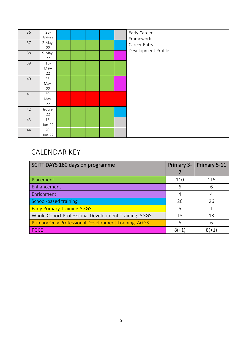| 36 | $25 -$<br>Apr-22 |  |  | Early Career        |  |
|----|------------------|--|--|---------------------|--|
| 37 | 2-May-           |  |  | Framework           |  |
|    | 22               |  |  | Career Entry        |  |
| 38 | 9-May-           |  |  | Development Profile |  |
|    | 22               |  |  |                     |  |
| 39 | $16-$            |  |  |                     |  |
|    | May-             |  |  |                     |  |
|    | 22               |  |  |                     |  |
| 40 | $23 -$           |  |  |                     |  |
|    | May-             |  |  |                     |  |
|    | 22               |  |  |                     |  |
| 41 | $30-$            |  |  |                     |  |
|    | May-<br>22       |  |  |                     |  |
| 42 | 6-Jun-           |  |  |                     |  |
|    | 22               |  |  |                     |  |
| 43 | $13 -$           |  |  |                     |  |
|    | $Jun-22$         |  |  |                     |  |
| 44 | $20 -$           |  |  |                     |  |
|    | $Jun-22$         |  |  |                     |  |

## CALENDAR KEY

| SCITT DAYS 180 days on programme                           | Primary 3- | Primary 5-11 |
|------------------------------------------------------------|------------|--------------|
|                                                            |            |              |
| Placement                                                  | 110        | 115          |
| Enhancement                                                | 6          | 6            |
| Enrichment                                                 | 4          | 4            |
| School-based training                                      | 26         | 26           |
| <b>Early Primary Training AGGS</b>                         | 6          |              |
| Whole Cohort Professional Development Training AGGS        | 13         | 13           |
| <b>Primary Only Professional Development Training AGGS</b> | 6          | 6            |
| <b>PGCE</b>                                                | $8(+1)$    | $8(+1)$      |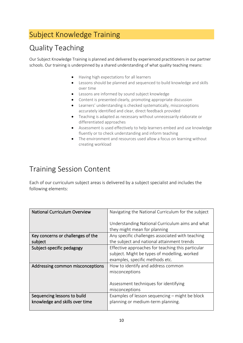### Subject Knowledge Training

### Quality Teaching

Our Subject Knowledge Training is planned and delivered by experienced practitioners in our partner schools. Our training is underpinned by a shared understanding of what quality teaching means:

- Having high expectations for all learners
- Lessons should be planned and sequenced to build knowledge and skills over time
- Lessons are informed by sound subject knowledge
- Content is presented clearly, promoting appropriate discussion
- Learners' understanding is checked systematically, misconceptions accurately identified and clear, direct feedback provided
- Teaching is adapted as necessary without unnecessarily elaborate or differentiated approaches
- Assessment is used effectively to help learners embed and use knowledge fluently or to check understanding and inform teaching
- The environment and resources used allow a focus on learning without creating workload

#### Training Session Content

Each of our curriculum subject areas is delivered by a subject specialist and includes the following elements:

| <b>National Curriculum Overview</b> | Navigating the National Curriculum for the subject                              |
|-------------------------------------|---------------------------------------------------------------------------------|
|                                     | Understanding National Curriculum aims and what<br>they might mean for planning |
| Key concerns or challenges of the   | Any specific challenges associated with teaching                                |
| subject                             | the subject and national attainment trends                                      |
| Subject-specific pedagogy           | Effective approaches for teaching this particular                               |
|                                     | subject. Might be types of modelling, worked                                    |
|                                     | examples, specific methods etc.                                                 |
| Addressing common misconceptions    | How to identify and address common                                              |
|                                     | misconceptions                                                                  |
|                                     |                                                                                 |
|                                     | Assessment techniques for identifying                                           |
|                                     | misconceptions                                                                  |
| Sequencing lessons to build         | Examples of lesson sequencing – might be block                                  |
| knowledge and skills over time      | planning or medium-term planning.                                               |
|                                     |                                                                                 |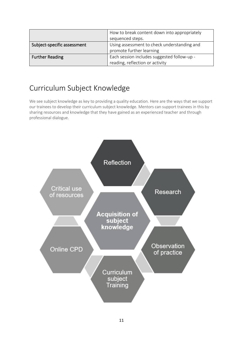|                             | How to break content down into appropriately<br>sequenced steps.               |
|-----------------------------|--------------------------------------------------------------------------------|
| Subject-specific assessment | Using assessment to check understanding and<br>promote further learning        |
| <b>Further Reading</b>      | Each session includes suggested follow-up -<br>reading, reflection or activity |

#### Curriculum Subject Knowledge

We see subject knowledge as key to providing a quality education. Here are the ways that we support our trainees to develop their curriculum subject knowledge. Mentors can support trainees in this by sharing resources and knowledge that they have gained as an experienced teacher and through professional dialogue.

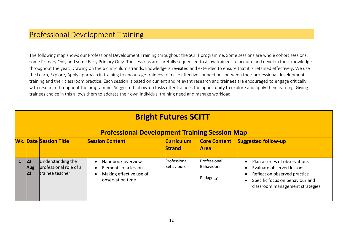#### Professional Development Training

The following map shows our Professional Development Training throughout the SCITT programme. Some sessions are whole cohort sessions, some Primary Only and some Early Primary Only. The sessions are carefully sequenced to allow trainees to acquire and develop their knowledge throughout the year. Drawing on the 6 curriculum strands, knowledge is revisited and extended to ensure that it is retained effectively. We use the Learn, Explore, Apply approach in training to encourage trainees to make effective connections between their professional development training and their classroom practice. Each session is based on current and relevant research and trainees are encouraged to engage critically with research throughout the programme. Suggested follow-up tasks offer trainees the opportunity to explore and apply their learning. Giving trainees choice in this allows them to address their own individual training need and manage workload.

| <b>Bright Futures SCITT</b>                          |                                                                |                                                                                          |                                    |                                               |                                                                                                                                                                               |
|------------------------------------------------------|----------------------------------------------------------------|------------------------------------------------------------------------------------------|------------------------------------|-----------------------------------------------|-------------------------------------------------------------------------------------------------------------------------------------------------------------------------------|
| <b>Professional Development Training Session Map</b> |                                                                |                                                                                          |                                    |                                               |                                                                                                                                                                               |
|                                                      | <b>Wk. Date Session Title</b>                                  | <b>Session Content</b>                                                                   | <b>Curriculum</b><br><b>Strand</b> | <b>Core Content</b><br><b>Area</b>            | <b>Suggested follow-up</b>                                                                                                                                                    |
| 23 <br><b>Aug</b><br> 21                             | Understanding the<br>professional role of a<br>trainee teacher | Handbook overview<br>Elements of a lesson<br>Making effective use of<br>observation time | Professional<br><b>Behaviours</b>  | Professional<br><b>Behaviours</b><br>Pedagogy | Plan a series of observations<br>$\bullet$<br>Evaluate observed lessons<br>Reflect on observed practice<br>Specific focus on behaviour and<br>classroom management strategies |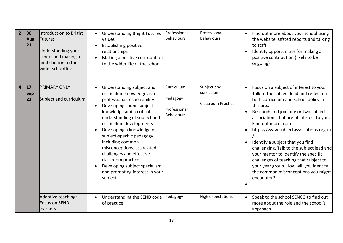| 2 <sup>1</sup>          | 30 <br>Aug<br> 21       | Introduction to Bright<br>Futures<br>Understanding your<br>school and making a<br>contribution to the<br>wider school life | <b>Understanding Bright Futures</b><br>values<br><b>Establishing positive</b><br>relationships<br>Making a positive contribution<br>to the wider life of the school                                                                                                                                                                                                                                                                                   | Professional<br><b>Behaviours</b>                           | Professional<br><b>Behaviours</b>                      | Find out more about your school using<br>the website, Ofsted reports and talking<br>to staff.<br>Identify opportunities for making a<br>positive contribution (likely to be<br>ongoing)                                                                                                                                                                                                                                                                                                                                                                                     |
|-------------------------|-------------------------|----------------------------------------------------------------------------------------------------------------------------|-------------------------------------------------------------------------------------------------------------------------------------------------------------------------------------------------------------------------------------------------------------------------------------------------------------------------------------------------------------------------------------------------------------------------------------------------------|-------------------------------------------------------------|--------------------------------------------------------|-----------------------------------------------------------------------------------------------------------------------------------------------------------------------------------------------------------------------------------------------------------------------------------------------------------------------------------------------------------------------------------------------------------------------------------------------------------------------------------------------------------------------------------------------------------------------------|
| $\overline{\mathbf{4}}$ | 17<br><b>Sep</b><br> 21 | <b>PRIMARY ONLY</b><br>Subject and curriculum                                                                              | Understanding subject and<br>curriculum knowledge as a<br>professional responsibility<br>Developing sound subject<br>knowledge and a critical<br>understanding of subject and<br>curriculum developments<br>Developing a knowledge of<br>subject-specific pedagogy<br>including common<br>misconceptions, associated<br>challenges and effective<br>classroom practice.<br>Developing subject specialism<br>and promoting interest in your<br>subject | Curriculum<br>Pedagogy<br>Professional<br><b>Behaviours</b> | Subject and<br>curriculum<br><b>Classroom Practice</b> | Focus on a subject of interest to you.<br>Talk to the subject lead and reflect on<br>both curriculum and school policy in<br>this area<br>Research and join one or two subject<br>$\bullet$<br>associations that are of interest to you.<br>Find out more from:<br>https://www.subjectassociations.org.uk<br>Identify a subject that you find<br>challenging. Talk to the subject lead and<br>your mentor to identify the specific<br>challenges of teaching that subject to<br>your year group. How will you identify<br>the common misconceptions you might<br>encounter? |
|                         |                         | Adaptive teaching:<br><b>Focus on SEND</b><br>learners                                                                     | Understanding the SEND code<br>of practice                                                                                                                                                                                                                                                                                                                                                                                                            | Pedagogy                                                    | <b>High expectations</b>                               | Speak to the school SENCO to find out<br>more about the role and the school's<br>approach                                                                                                                                                                                                                                                                                                                                                                                                                                                                                   |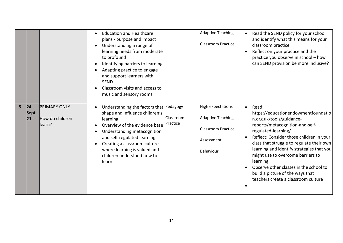|   |                    |                                                   | <b>Education and Healthcare</b><br>plans - purpose and impact<br>Understanding a range of<br>learning needs from moderate<br>to profound<br>Identifying barriers to learning<br>Adapting practice to engage<br>and support learners with<br><b>SEND</b><br>Classroom visits and access to<br>music and sensory rooms |                       | Adaptive Teaching<br><b>Classroom Practice</b>                                                               | Read the SEND policy for your school<br>and identify what this means for your<br>classroom practice<br>Reflect on your practice and the<br>practice you observe in school - how<br>can SEND provision be more inclusive?                                                                                                                                                                                                                                    |
|---|--------------------|---------------------------------------------------|----------------------------------------------------------------------------------------------------------------------------------------------------------------------------------------------------------------------------------------------------------------------------------------------------------------------|-----------------------|--------------------------------------------------------------------------------------------------------------|-------------------------------------------------------------------------------------------------------------------------------------------------------------------------------------------------------------------------------------------------------------------------------------------------------------------------------------------------------------------------------------------------------------------------------------------------------------|
| 5 | 24 <br>Sept<br> 21 | <b>PRIMARY ONLY</b><br>How do children<br>llearn? | Understanding the factors that Pedagogy<br>shape and influence children's<br>learning<br>Overview of the evidence base<br>Understanding metacognition<br>and self-regulated learning<br>Creating a classroom culture<br>where learning is valued and<br>children understand how to<br>learn.                         | Classroom<br>Practice | <b>High expectations</b><br><b>Adaptive Teaching</b><br><b>Classroom Practice</b><br>Assessment<br>Behaviour | Read:<br>$\bullet$<br>https://educationendowmentfoundatio<br>n.org.uk/tools/guidance-<br>reports/metacognition-and-self-<br>regulated-learning/<br>Reflect: Consider those children in your<br>class that struggle to regulate their own<br>learning and identify strategies that you<br>might use to overcome barriers to<br>learning<br>Observe other classes in the school to<br>build a picture of the ways that<br>teachers create a classroom culture |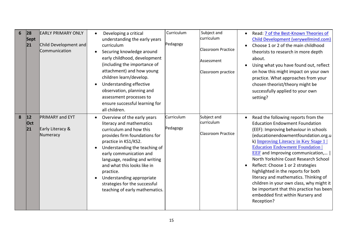| 6 | 28<br><b>Sept</b><br> 21 | <b>EARLY PRIMARY ONLY</b><br>Child Development and<br>Communication | Developing a critical<br>understanding the early years<br>curriculum<br>Securing knowledge around<br>$\bullet$<br>early childhood, development<br>(including the importance of<br>attachment) and how young<br>children learn/develop.<br>Understanding effective<br>$\bullet$<br>observation, planning and<br>assessment processes to<br>ensure successful learning for<br>all children.         | Curriculum<br>Pedagogy | Subject and<br>curriculum<br><b>Classroom Practice</b><br>Assessment<br>Classroom practice | Read: 7 of the Best-Known Theories of<br><b>Child Development (verywellmind.com)</b><br>Choose 1 or 2 of the main childhood<br>theorists to research in more depth<br>about.<br>Using what you have found out, reflect<br>on how this might impact on your own<br>practice. What approaches from your<br>chosen theorist/theory might be<br>successfully applied to your own<br>setting?                                                                                                                                                                                                          |
|---|--------------------------|---------------------------------------------------------------------|---------------------------------------------------------------------------------------------------------------------------------------------------------------------------------------------------------------------------------------------------------------------------------------------------------------------------------------------------------------------------------------------------|------------------------|--------------------------------------------------------------------------------------------|---------------------------------------------------------------------------------------------------------------------------------------------------------------------------------------------------------------------------------------------------------------------------------------------------------------------------------------------------------------------------------------------------------------------------------------------------------------------------------------------------------------------------------------------------------------------------------------------------|
| 8 | 12 <br>Oct<br> 21        | <b>PRIMARY and EYT</b><br>Early Literacy &<br>Numeracy              | Overview of the early years<br>$\bullet$<br>literacy and mathematics<br>curriculum and how this<br>provides firm foundations for<br>practice in KS1/KS2.<br>Understanding the teaching of<br>early communication and<br>language, reading and writing<br>and what this looks like in<br>practice.<br>Understanding appropriate<br>strategies for the successful<br>teaching of early mathematics. | Curriculum<br>Pedagogy | Subject and<br>curriculum<br><b>Classroom Practice</b>                                     | Read the following reports from the<br><b>Education Endowment Foundation</b><br>(EEF): Improving behaviour in schools<br>(educationendowmentfoundation.org.u<br>k) Improving Literacy in Key Stage 1<br><b>Education Endowment Foundation</b><br><b>EEF</b> and Improving communication,<br>North Yorkshire Coast Research School<br>Reflect: Choose 1 or 2 strategies<br>highlighted in the reports for both<br>literacy and mathematics. Thinking of<br>children in your own class, why might it<br>be important that this practice has been<br>embedded first within Nursery and<br>Reception? |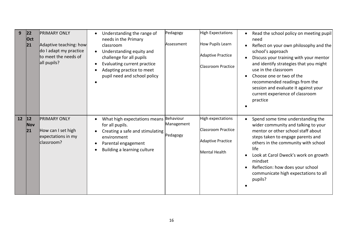| 9    | 22 <br>Oct<br> 21                 | <b>PRIMARY ONLY</b><br>Adaptive teaching: how<br>do I adapt my practice<br>to meet the needs of<br>all pupils? | Understanding the range of<br>needs in the Primary<br>classroom<br>Understanding equity and<br>$\bullet$<br>challenge for all pupils<br>Evaluating current practice<br>Adapting practice to meet<br>pupil need and school policy | Pedagogy<br>Assessment | <b>High Expectations</b><br>How Pupils Learn<br><b>Adaptive Practice</b><br>Classroom Practice | Read the school policy on meeting pupil<br>need<br>Reflect on your own philosophy and the<br>school's approach<br>Discuss your training with your mentor<br>and identify strategies that you might<br>use in the classroom<br>Choose one or two of the<br>recommended readings from the<br>session and evaluate it against your<br>current experience of classroom<br>practice |
|------|-----------------------------------|----------------------------------------------------------------------------------------------------------------|----------------------------------------------------------------------------------------------------------------------------------------------------------------------------------------------------------------------------------|------------------------|------------------------------------------------------------------------------------------------|--------------------------------------------------------------------------------------------------------------------------------------------------------------------------------------------------------------------------------------------------------------------------------------------------------------------------------------------------------------------------------|
| $12$ | $ 12\rangle$<br><b>Nov</b><br> 21 | <b>PRIMARY ONLY</b><br>How can I set high<br>expectations in my<br>classroom?                                  | What high expectations means Behaviour<br>for all pupils.<br>Creating a safe and stimulating<br>environment<br>Parental engagement<br>Building a learning culture                                                                | Management<br>Pedagogy | High expectations<br>Classroom Practice<br><b>Adaptive Practice</b><br>Mental Health           | Spend some time understanding the<br>wider community and talking to your<br>mentor or other school staff about<br>steps taken to engage parents and<br>others in the community with school<br>life<br>Look at Carol Dweck's work on growth<br>mindset<br>Reflection: how does your school<br>communicate high expectations to all<br>pupils?                                   |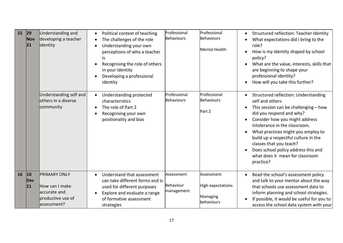| 15 | 29 <br><b>Nov</b><br>21 | Understanding and<br>developing a teacher<br>identity<br>Understanding self and<br>others in a diverse<br>community | Political context of teaching<br>The challenges of the role<br>$\bullet$<br>Understanding your own<br>perceptions of who a teacher<br>is<br>Recognising the role of others<br>in your identity<br>Developing a professional<br>identity<br>Understanding protected<br>$\bullet$<br>characteristics<br>The role of Part 2<br>Recognising your own<br>positionality and bias | Professional<br><b>Behaviours</b><br>Professional<br><b>Behaviours</b> | Professional<br>Behaviours<br><b>Mental Health</b><br>Professional<br><b>Behaviours</b><br>Part 2 | Structured reflection: Teacher Identity<br>What expectations did I bring to the<br>$\bullet$<br>role?<br>How is my identity shaped by school<br>$\bullet$<br>policy?<br>What are the value, interests, skills that<br>are beginning to shape your<br>professional identity?<br>How will you take this further?<br>$\bullet$<br>Structured reflection: Understanding<br>self and others<br>This session can be challenging $-$ how<br>did you respond and why?<br>Consider how you might address<br>intolerance in the classroom.<br>What practices might you employ to<br>build up a respectful culture in the<br>classes that you teach?<br>Does school policy address this and<br>what does it mean for classroom |
|----|-------------------------|---------------------------------------------------------------------------------------------------------------------|----------------------------------------------------------------------------------------------------------------------------------------------------------------------------------------------------------------------------------------------------------------------------------------------------------------------------------------------------------------------------|------------------------------------------------------------------------|---------------------------------------------------------------------------------------------------|---------------------------------------------------------------------------------------------------------------------------------------------------------------------------------------------------------------------------------------------------------------------------------------------------------------------------------------------------------------------------------------------------------------------------------------------------------------------------------------------------------------------------------------------------------------------------------------------------------------------------------------------------------------------------------------------------------------------|
|    |                         |                                                                                                                     |                                                                                                                                                                                                                                                                                                                                                                            |                                                                        |                                                                                                   | practice?                                                                                                                                                                                                                                                                                                                                                                                                                                                                                                                                                                                                                                                                                                           |
| 16 | 10<br><b>Dec</b><br>21  | <b>PRIMARY ONLY</b><br>How can I make<br>accurate and<br>productive use of<br>lassessment?                          | Understand that assessment<br>$\bullet$<br>can take different forms and is<br>used for different purposes<br>Explore and evaluate a range<br>of formative assessment<br>strategies                                                                                                                                                                                         | Assessment<br>Behaviour<br>management                                  | Assessment<br>High expectations<br>Managing<br>behaviours                                         | Read the school's assessment policy<br>$\bullet$<br>and talk to your mentor about the way<br>that schools use assessment data to<br>inform planning and school strategies.<br>If possible, it would be useful for you to<br>access the school data system with your                                                                                                                                                                                                                                                                                                                                                                                                                                                 |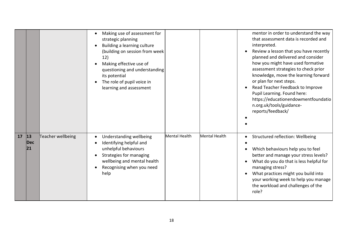|    |                          |                   | Making use of assessment for<br>strategic planning<br>Building a learning culture<br>(building on session from week<br>12)<br>Making effective use of<br>questioning and understanding<br>its potential<br>The role of pupil voice in<br>learning and assessment |               |               | mentor in order to understand the way<br>that assessment data is recorded and<br>interpreted.<br>Review a lesson that you have recently<br>planned and delivered and consider<br>how you might have used formative<br>assessment strategies to check prior<br>knowledge, move the learning forward<br>or plan for next steps.<br>Read Teacher Feedback to Improve<br>Pupil Learning. Found here:<br>https://educationendowmentfoundatio<br>n.org.uk/tools/guidance-<br>reports/feedback/ |
|----|--------------------------|-------------------|------------------------------------------------------------------------------------------------------------------------------------------------------------------------------------------------------------------------------------------------------------------|---------------|---------------|------------------------------------------------------------------------------------------------------------------------------------------------------------------------------------------------------------------------------------------------------------------------------------------------------------------------------------------------------------------------------------------------------------------------------------------------------------------------------------------|
| 17 | 13 <br><b>Dec</b><br> 21 | Teacher wellbeing | Understanding wellbeing<br>Identifying helpful and<br>unhelpful behaviours<br>Strategies for managing<br>wellbeing and mental health<br>Recognising when you need<br>help                                                                                        | Mental Health | Mental Health | Structured reflection: Wellbeing<br>Which behaviours help you to feel<br>better and manage your stress levels?<br>What do you do that is less helpful for<br>managing stress?<br>What practices might you build into<br>your working week to help you manage<br>the workload and challenges of the<br>role?                                                                                                                                                                              |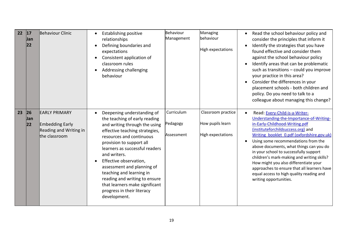| 22 | 17<br>Jan<br> 22        | Behaviour Clinic                                                                          | <b>Establishing positive</b><br>relationships<br>Defining boundaries and<br>expectations<br>Consistent application of<br>classroom rules<br>Addressing challenging<br>behaviour                                                                                                                                                                                                                                                                            | Behaviour<br>Management              | Managing<br>behaviour<br><b>High expectations</b>                  | Read the school behaviour policy and<br>consider the principles that inform it<br>Identify the strategies that you have<br>found effective and consider them<br>against the school behaviour policy<br>Identify areas that can be problematic<br>such as transitions - could you improve<br>your practice in this area?<br>Consider the differences in your<br>placement schools - both children and<br>policy. Do you need to talk to a<br>colleague about managing this change?                                                        |
|----|-------------------------|-------------------------------------------------------------------------------------------|------------------------------------------------------------------------------------------------------------------------------------------------------------------------------------------------------------------------------------------------------------------------------------------------------------------------------------------------------------------------------------------------------------------------------------------------------------|--------------------------------------|--------------------------------------------------------------------|------------------------------------------------------------------------------------------------------------------------------------------------------------------------------------------------------------------------------------------------------------------------------------------------------------------------------------------------------------------------------------------------------------------------------------------------------------------------------------------------------------------------------------------|
| 23 | 26<br><b>Jan</b><br> 22 | <b>EARLY PRIMARY</b><br><b>Embedding Early</b><br>Reading and Writing in<br>the classroom | Deepening understanding of<br>$\bullet$<br>the teaching of early reading<br>and writing through the using<br>effective teaching strategies,<br>resources and continuous<br>provision to support all<br>learners as successful readers<br>and writers.<br>Effective observation,<br>assessment and planning of<br>teaching and learning in<br>reading and writing to ensure<br>that learners make significant<br>progress in their literacy<br>development. | Curriculum<br>Pedagogy<br>Assessment | Classroom practice<br>How pupils learn<br><b>High expectations</b> | Read: Every-Child-is-a-Writer-<br>Understanding-the-Importance-of-Writing-<br>in-Early-Childhood-Writing.pdf<br>(instituteforchildsuccess.org) and<br>Writing booklet 0.pdf (oxfordshire.gov.uk)<br>Using some recommendations from the<br>above documents, what things can you do<br>in your school to successfully support<br>children's mark-making and writing skills?<br>How might you also differentiate your<br>approaches to ensure that all learners have<br>equal access to high quality reading and<br>writing opportunities. |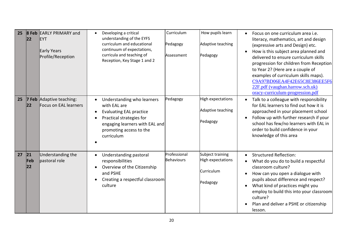| 25 | 22                | <b>8 Feb EARLY PRIMARY and</b><br><b>EYT</b><br>Early Years<br>Profile/Reception | Developing a critical<br>understanding of the EYFS<br>curriculum and educational<br>continuum of expectations,<br>curricula and teaching of<br>Reception, Key Stage 1 and 2                      | Curriculum<br>Pedagogy<br>Assessment | How pupils learn<br>Adaptive teaching<br>Pedagogy               | Focus on one curriculum area i.e.<br>literacy, mathematics, art and design<br>(expressive arts and Design) etc.<br>How is this subject area planned and<br>delivered to ensure curriculum skills<br>progression for children from Reception<br>to Year 2? (Here are a couple of<br>examples of curriculum skills maps).<br>C9A97BD06EA4F42E65C8E386EE5F6<br>22F.pdf (vaughan.harrow.sch.uk)<br>oracy-curriculum-progression.pdf |
|----|-------------------|----------------------------------------------------------------------------------|--------------------------------------------------------------------------------------------------------------------------------------------------------------------------------------------------|--------------------------------------|-----------------------------------------------------------------|---------------------------------------------------------------------------------------------------------------------------------------------------------------------------------------------------------------------------------------------------------------------------------------------------------------------------------------------------------------------------------------------------------------------------------|
| 25 | 7 Feb<br>22       | Adaptive teaching:<br>Focus on EAL learners                                      | Understanding who learners<br>with EAL are<br><b>Evaluating EAL practice</b><br>$\bullet$<br>Practical strategies for<br>engaging learners with EAL and<br>promoting access to the<br>curriculum | Pedagogy                             | High expectations<br>Adaptive teaching<br>Pedagogy              | Talk to a colleague with responsibility<br>$\bullet$<br>for EAL learners to find out how it is<br>approached in your placement school<br>Follow up with further research if your<br>school has few/no learners with EAL in<br>order to build confidence in your<br>knowledge of this area                                                                                                                                       |
| 27 | 21 <br>Feb<br> 22 | Understanding the<br>pastoral role                                               | Understanding pastoral<br>responsibilities<br>Overview of the Citizenship<br>and PSHE<br>Creating a respectful classroom<br>culture                                                              | Professional<br><b>Behaviours</b>    | Subject training<br>High expectations<br>Curriculum<br>Pedagogy | <b>Structured Reflection:</b><br>What do you do to build a respectful<br>classroom culture?<br>How can you open a dialogue with<br>pupils about difference and respect?<br>What kind of practices might you<br>employ to build this into your classroom<br>culture?<br>Plan and deliver a PSHE or citizenship<br>lesson.                                                                                                        |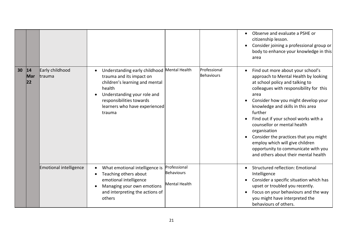|    |                           |                                  |                                                                                                                                                                                                                           |                                                    |                                   | Observe and evaluate a PSHE or<br>citizenship lesson.<br>Consider joining a professional group or<br>body to enhance your knowledge in this<br>area                                                                                                                                                                                                                                                                                                                                                      |
|----|---------------------------|----------------------------------|---------------------------------------------------------------------------------------------------------------------------------------------------------------------------------------------------------------------------|----------------------------------------------------|-----------------------------------|----------------------------------------------------------------------------------------------------------------------------------------------------------------------------------------------------------------------------------------------------------------------------------------------------------------------------------------------------------------------------------------------------------------------------------------------------------------------------------------------------------|
| 30 | 14<br>Mar<br>$ 22\rangle$ | Early childhood<br><b>trauma</b> | Understanding early childhood Mental Health<br>trauma and its impact on<br>children's learning and mental<br>health<br>Understanding your role and<br>responsibilities towards<br>learners who have experienced<br>trauma |                                                    | Professional<br><b>Behaviours</b> | Find out more about your school's<br>approach to Mental Health by looking<br>at school policy and talking to<br>colleagues with responsibility for this<br>area<br>Consider how you might develop your<br>knowledge and skills in this area<br>further<br>Find out if your school works with a<br>counsellor or mental health<br>organisation<br>Consider the practices that you might<br>employ which will give children<br>opportunity to communicate with you<br>and others about their mental health |
|    |                           | <b>Emotional intelligence</b>    | What emotional intelligence is<br>Teaching others about<br>emotional intelligence<br>Managing your own emotions<br>and interpreting the actions of<br>others                                                              | Professional<br>Behaviours<br><b>Mental Health</b> |                                   | <b>Structured reflection: Emotional</b><br>Intelligence<br>Consider a specific situation which has<br>upset or troubled you recently.<br>Focus on your behaviours and the way<br>you might have interpreted the<br>behaviours of others.                                                                                                                                                                                                                                                                 |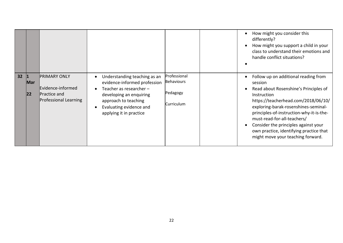|    |                     |                                                                                                 |                                                                                                                                                                                                    |                                                             | How might you consider this<br>differently?<br>How might you support a child in your<br>class to understand their emotions and<br>handle conflict situations?                                                                                                                                                                                                                             |
|----|---------------------|-------------------------------------------------------------------------------------------------|----------------------------------------------------------------------------------------------------------------------------------------------------------------------------------------------------|-------------------------------------------------------------|-------------------------------------------------------------------------------------------------------------------------------------------------------------------------------------------------------------------------------------------------------------------------------------------------------------------------------------------------------------------------------------------|
| 32 | Mar<br>$ 22\rangle$ | <b>PRIMARY ONLY</b><br>Evidence-informed<br><b>Practice and</b><br><b>Professional Learning</b> | Understanding teaching as an<br>evidence-informed profession<br>Teacher as researcher $-$<br>developing an enquiring<br>approach to teaching<br>Evaluating evidence and<br>applying it in practice | Professional<br><b>Behaviours</b><br>Pedagogy<br>Curriculum | Follow up on additional reading from<br>session<br>Read about Rosenshine's Principles of<br>Instruction<br>https://teacherhead.com/2018/06/10/<br>exploring-barak-rosenshines-seminal-<br>principles-of-instruction-why-it-is-the-<br>must-read-for-all-teachers/<br>Consider the principles against your<br>own practice, identifying practice that<br>might move your teaching forward. |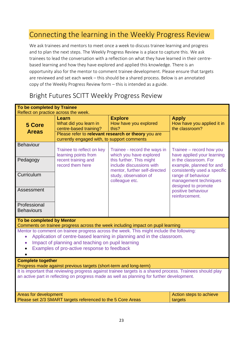#### Connecting the learning in the Weekly Progress Review

We ask trainees and mentors to meet once a week to discuss trainee learning and progress and to plan the next steps. The Weekly Progress Review is a place to capture this. We ask trainees to lead the conversation with a reflection on what they have learned in their centrebased learning and how they have explored and applied this knowledge. There is an opportunity also for the mentor to comment trainee development. Please ensure that targets are reviewed and set each week – this should be a shared process. Below is an annotated copy of the Weekly Progress Review form – this is intended as a guide.

#### Bright Futures SCITT Weekly Progress Review

| To be completed by Trainee<br>Reflect on practice across the week.                                                                                                                                                                                                                               |                                                                                                         |                                                                                                         |                                                                                   |  |
|--------------------------------------------------------------------------------------------------------------------------------------------------------------------------------------------------------------------------------------------------------------------------------------------------|---------------------------------------------------------------------------------------------------------|---------------------------------------------------------------------------------------------------------|-----------------------------------------------------------------------------------|--|
| 5 Core<br><b>Areas</b>                                                                                                                                                                                                                                                                           | Learn<br>What did you learn in<br>centre-based training?<br>currently engaged with, to support comments | <b>Explore</b><br>How have you explored<br>this?<br>Please refer to relevant research or theory you are | <b>Apply</b><br>How have you applied it in<br>the classroom?                      |  |
| <b>Behaviour</b>                                                                                                                                                                                                                                                                                 | Trainee to reflect on key<br>learning points from                                                       | Trainee - record the ways in<br>which you have explored                                                 | Trainee – record how you<br>have applied your learning                            |  |
| Pedagogy                                                                                                                                                                                                                                                                                         | recent training and<br>record them here                                                                 | this further. This might<br>include discussions with<br>mentor, further self-directed                   | in the classroom. For<br>example, planned for and<br>consistently used a specific |  |
| Curriculum                                                                                                                                                                                                                                                                                       |                                                                                                         | study, observation of<br>colleague etc.                                                                 | range of behaviour<br>management techniques<br>designed to promote                |  |
| Assessment                                                                                                                                                                                                                                                                                       |                                                                                                         |                                                                                                         | positive behaviour<br>reinforcement.                                              |  |
| Professional<br><b>Behaviours</b>                                                                                                                                                                                                                                                                |                                                                                                         |                                                                                                         |                                                                                   |  |
| To be completed by Mentor<br>Comments on trainee progress across the week including impact on pupil learning                                                                                                                                                                                     |                                                                                                         |                                                                                                         |                                                                                   |  |
| Mentor to comment on trainee progress across the week. This might include the following:<br>Application of centre-based learning in planning and in the classroom.<br>$\bullet$<br>Impact of planning and teaching on pupil learning<br>$\bullet$<br>Examples of pro-active response to feedback |                                                                                                         |                                                                                                         |                                                                                   |  |
| <b>Complete together</b><br>Progress made against previous targets (short-term and long-term)                                                                                                                                                                                                    |                                                                                                         |                                                                                                         |                                                                                   |  |
| It is important that reviewing progress against trainee targets is a shared process. Trainees should play<br>an active part in reflecting on progress made as well as planning for further development.                                                                                          |                                                                                                         |                                                                                                         |                                                                                   |  |
| Areas for development<br>Please set 2/3 SMART targets referenced to the 5 Core Areas                                                                                                                                                                                                             |                                                                                                         |                                                                                                         | Action steps to achieve<br>targets                                                |  |